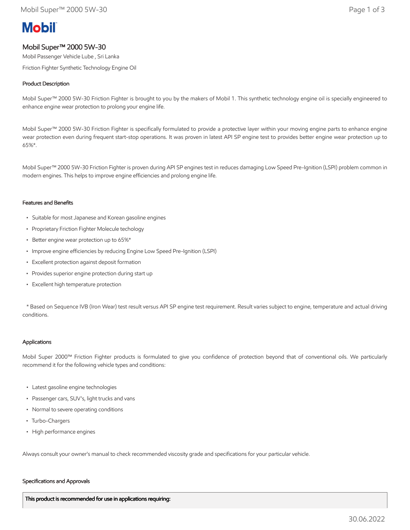# **Mobil**

## Mobil Super™ 2000 5W-30

Mobil Passenger Vehicle Lube , Sri Lanka

Friction Fighter Synthetic Technology Engine Oil

### Product Description

Mobil Super™ 2000 5W-30 Friction Fighter is brought to you by the makers of Mobil 1. This synthetic technology engine oil is specially engineered to enhance engine wear protection to prolong your engine life.

Mobil Super™ 2000 5W-30 Friction Fighter is specifically formulated to provide a protective layer within your moving engine parts to enhance engine wear protection even during frequent start-stop operations. It was proven in latest API SP engine test to provides better engine wear protection up to 65%\*.

Mobil Super™ 2000 5W-30 Friction Fighter is proven during API SP engines test in reduces damaging Low Speed Pre-Ignition (LSPI) problem common in modern engines. This helps to improve engine efficiencies and prolong engine life.

#### Features and Benefits

- Suitable for most Japanese and Korean gasoline engines
- Proprietary Friction Fighter Molecule techology
- Better engine wear protection up to 65%\*
- Improve engine efficiencies by reducing Engine Low Speed Pre-Ignition (LSPI)
- Excellent protection against deposit formation
- Provides superior engine protection during start up
- Excellent high temperature protection

 \* Based on Sequence IVB (Iron Wear) test result versus API SP engine test requirement. Result varies subject to engine, temperature and actual driving conditions.

#### Applications

Mobil Super 2000™ Friction Fighter products is formulated to give you confidence of protection beyond that of conventional oils. We particularly recommend it for the following vehicle types and conditions:

- Latest gasoline engine technologies
- Passenger cars, SUV's, light trucks and vans
- Normal to severe operating conditions
- Turbo-Chargers
- High performance engines

Always consult your owner's manual to check recommended viscosity grade and specifications for your particular vehicle.

#### Specifications and Approvals

This product is recommended for use in applications requiring: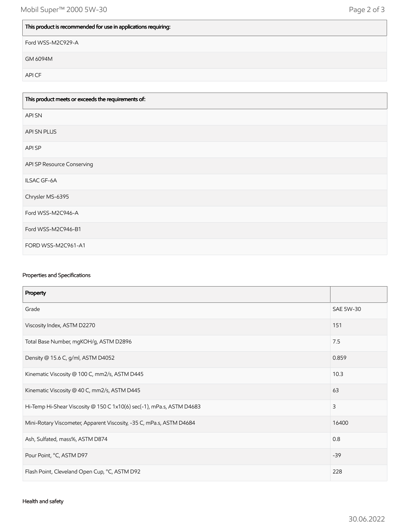# This product is recommended for use in applications requiring:

Ford WSS-M2C929-A

GM 6094M

API CF

| This product meets or exceeds the requirements of: |
|----------------------------------------------------|
| <b>APISN</b>                                       |
| API SN PLUS                                        |
| API SP                                             |
| API SP Resource Conserving                         |
| ILSAC GF-6A                                        |
| Chrysler MS-6395                                   |
| Ford WSS-M2C946-A                                  |
| Ford WSS-M2C946-B1                                 |
| FORD WSS-M2C961-A1                                 |

## Properties and Specifications

| Property                                                              |           |
|-----------------------------------------------------------------------|-----------|
| Grade                                                                 | SAE 5W-30 |
| Viscosity Index, ASTM D2270                                           | 151       |
| Total Base Number, mgKOH/g, ASTM D2896                                | 7.5       |
| Density @ 15.6 C, g/ml, ASTM D4052                                    | 0.859     |
| Kinematic Viscosity @ 100 C, mm2/s, ASTM D445                         | 10.3      |
| Kinematic Viscosity @ 40 C, mm2/s, ASTM D445                          | 63        |
| Hi-Temp Hi-Shear Viscosity @ 150 C 1x10(6) sec(-1), mPa.s, ASTM D4683 | 3         |
| Mini-Rotary Viscometer, Apparent Viscosity, -35 C, mPa.s, ASTM D4684  | 16400     |
| Ash, Sulfated, mass%, ASTM D874                                       | 0.8       |
| Pour Point, °C, ASTM D97                                              | $-39$     |
| Flash Point, Cleveland Open Cup, °C, ASTM D92                         | 228       |